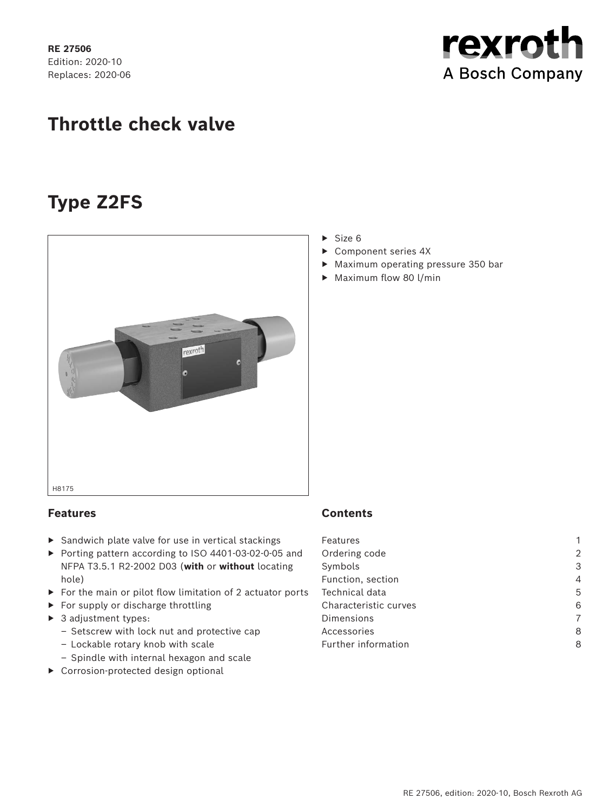**RE 27506** Edition: 2020-10 Replaces: 2020-06 rexroth A Bosch Company

# **Throttle check valve**

# **Type Z2FS**



## **Features**

- ▶ Sandwich plate valve for use in vertical stackings
- ▶ Porting pattern according to ISO 4401-03-02-0-05 and NFPA T3.5.1 R2-2002 D03 (**with** or **without** locating hole)
- ▶ For the main or pilot flow limitation of 2 actuator ports
- ▶ For supply or discharge throttling
- ▶ 3 adjustment types:
	- Setscrew with lock nut and protective cap
	- Lockable rotary knob with scale
	- Spindle with internal hexagon and scale
- ▶ Corrosion-protected design optional
- $\triangleright$  Size 6
- ▶ Component series 4X
- ▶ Maximum operating pressure 350 bar
- ▶ Maximum flow 80 l/min

## **Contents**

| Features              |                |
|-----------------------|----------------|
| Ordering code         | $\overline{2}$ |
| Symbols               | 3              |
| Function, section     | 4              |
| Technical data        | 5              |
| Characteristic curves | 6              |
| Dimensions            | 7              |
| Accessories           | 8              |
| Further information   | 8              |
|                       |                |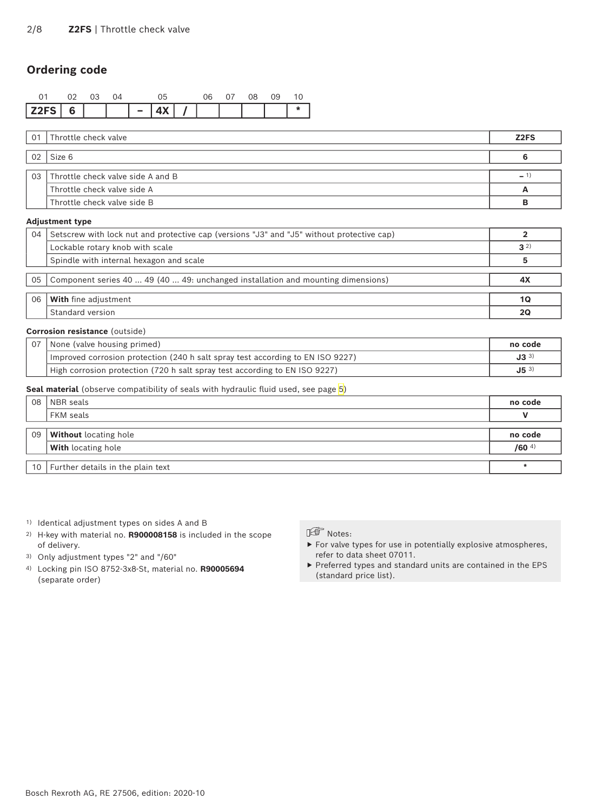## <span id="page-1-0"></span>**Ordering code**

|          |  |  |       |  | 08. | 0.9 |  |
|----------|--|--|-------|--|-----|-----|--|
| $Z2FS$ 6 |  |  | 4 X I |  |     |     |  |

| 01 Throttle check valve              | Z <sub>2</sub> FS |
|--------------------------------------|-------------------|
| $02$ Size 6                          |                   |
| 03 Throttle check valve side A and B | $ \degree$        |
| Throttle check valve side A          |                   |
| Throttle check valve side B          |                   |

#### **Adjustment type**

| 04 | Setscrew with lock nut and protective cap (versions "J3" and "J5" without protective cap) |         |
|----|-------------------------------------------------------------------------------------------|---------|
|    | Lockable rotary knob with scale                                                           | $3^{2}$ |
|    | Spindle with internal hexagon and scale                                                   |         |
|    |                                                                                           |         |
| 05 | Component series 40  49 (40  49: unchanged installation and mounting dimensions)          | -4λ     |
|    |                                                                                           |         |
| 06 | <b>With</b> fine adjustment                                                               | 1Q      |
|    | Standard version                                                                          | 20      |

#### **Corrosion resistance** (outside)

| 07 | None (valve housing primed)                                                    | no code  |
|----|--------------------------------------------------------------------------------|----------|
|    | Improved corrosion protection (240 h salt spray test according to EN ISO 9227) | $J3^{3}$ |
|    | High corrosion protection (720 h salt spray test according to EN ISO 9227)     | $J5^{3}$ |

#### **Seal material** (observe compatibility of seals with hydraulic fluid used, see page 5)

| 08 | NBR seals                                   | no code             |
|----|---------------------------------------------|---------------------|
|    | FKM seals                                   |                     |
|    |                                             |                     |
| 09 | <b>Without</b> locating hole                | no code             |
|    | <b>With</b> locating hole                   | $/60$ <sup>4)</sup> |
|    |                                             |                     |
|    | , 10 $\,$ Further details in the plain text |                     |

- 1) Identical adjustment types on sides A and B
- 2) H-key with material no. **R900008158** is included in the scope of delivery.
- 3) Only adjustment types "2" and "/60"
- 4) Locking pin ISO 8752-3x8-St, material no. **R90005694** (separate order)

## Notes:

- ▶ For valve types for use in potentially explosive atmospheres, refer to data sheet 07011.
- ▶ Preferred types and standard units are contained in the EPS (standard price list).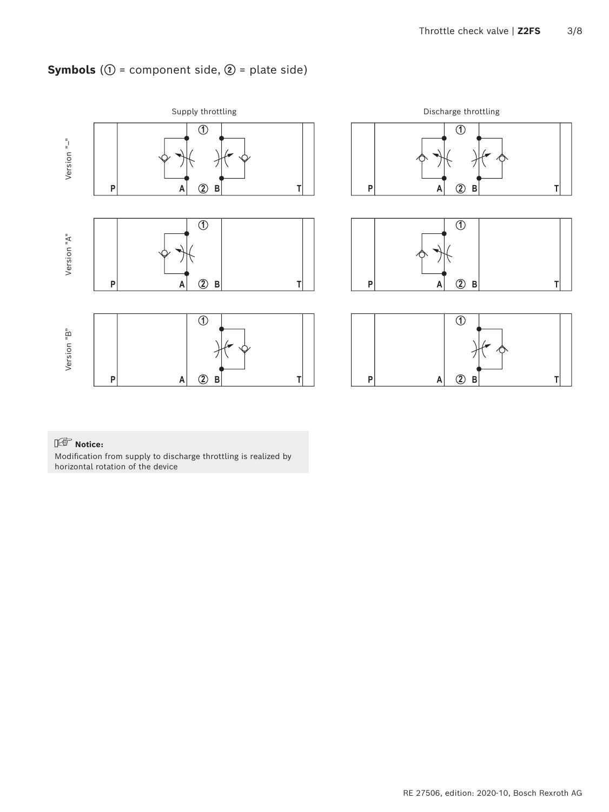# <span id="page-2-0"></span>**Symbols** (**①** = component side, **②** = plate side)



## **Notice:**

Modification from supply to discharge throttling is realized by horizontal rotation of the device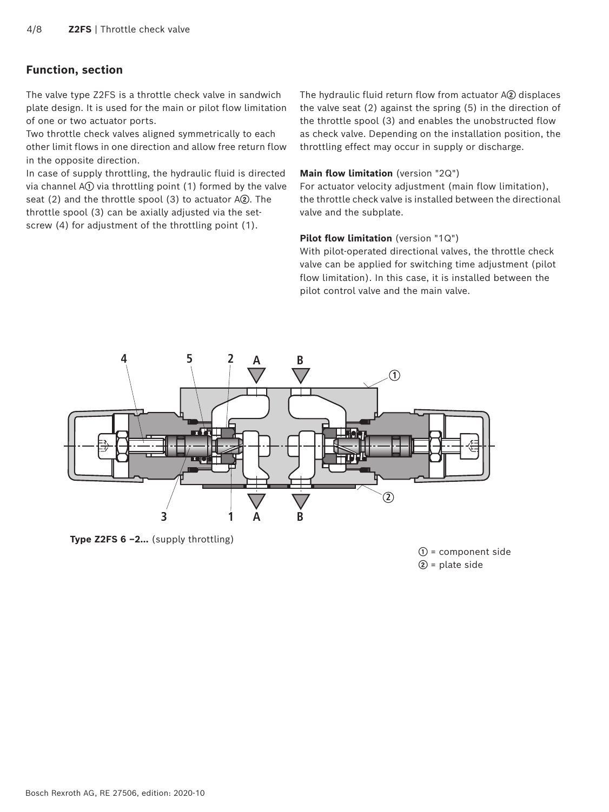## <span id="page-3-0"></span>**Function, section**

The valve type Z2FS is a throttle check valve in sandwich plate design. It is used for the main or pilot flow limitation of one or two actuator ports.

Two throttle check valves aligned symmetrically to each other limit flows in one direction and allow free return flow in the opposite direction.

In case of supply throttling, the hydraulic fluid is directed via channel A**①** via throttling point (1) formed by the valve seat (2) and the throttle spool (3) to actuator A**②**. The throttle spool (3) can be axially adjusted via the setscrew (4) for adjustment of the throttling point (1).

The hydraulic fluid return flow from actuator A**②** displaces the valve seat (2) against the spring (5) in the direction of the throttle spool (3) and enables the unobstructed flow as check valve. Depending on the installation position, the throttling effect may occur in supply or discharge.

#### **Main flow limitation** (version "2Q")

For actuator velocity adjustment (main flow limitation), the throttle check valve is installed between the directional valve and the subplate.

#### **Pilot flow limitation** (version "1Q")

With pilot-operated directional valves, the throttle check valve can be applied for switching time adjustment (pilot flow limitation). In this case, it is installed between the pilot control valve and the main valve.



**Type Z2FS 6 –2…** (supply throttling)

**①** = component side **②** = plate side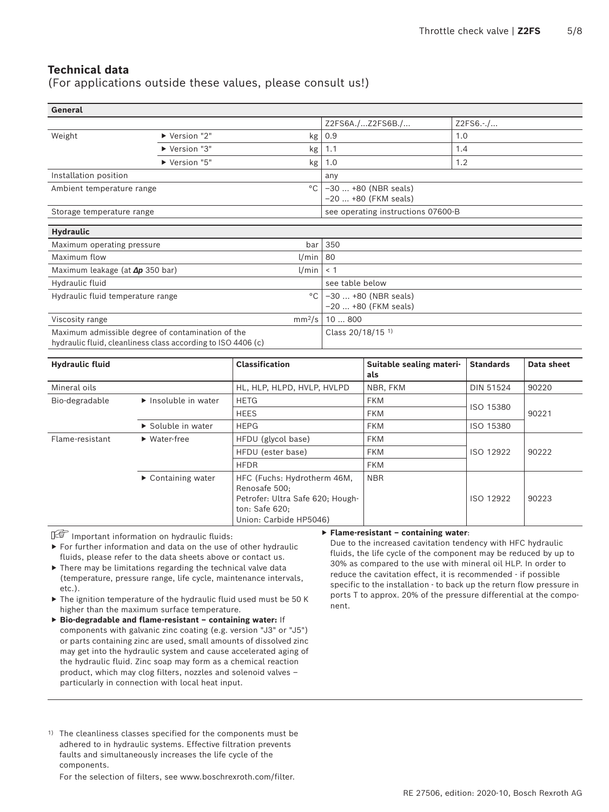## <span id="page-4-0"></span>**Technical data**

(For applications outside these values, please consult us!)

| General                                                                                                           |             |                                               |                                               |            |  |
|-------------------------------------------------------------------------------------------------------------------|-------------|-----------------------------------------------|-----------------------------------------------|------------|--|
|                                                                                                                   |             |                                               | Z2FS6A./Z2FS6B./                              | $Z2FS6.-/$ |  |
| Weight                                                                                                            | Version "2" | kg                                            | 0.9                                           | 1.0        |  |
|                                                                                                                   | Version "3" | kg                                            | 1.1                                           | 1.4        |  |
|                                                                                                                   | Version "5" | kg                                            | 1.0                                           | 1.2        |  |
| Installation position                                                                                             |             |                                               | any                                           |            |  |
| Ambient temperature range                                                                                         |             | $-30+80$ (NBR seals)<br>$-20$ +80 (FKM seals) |                                               |            |  |
| Storage temperature range                                                                                         |             | see operating instructions 07600-B            |                                               |            |  |
| <b>Hydraulic</b>                                                                                                  |             |                                               |                                               |            |  |
| Maximum operating pressure                                                                                        |             | bar                                           | 350                                           |            |  |
| Maximum flow<br>l/min                                                                                             |             |                                               | 80                                            |            |  |
| l/min<br>Maximum leakage (at $\Delta p$ 350 bar)                                                                  |             |                                               | < 1                                           |            |  |
| Hydraulic fluid                                                                                                   |             |                                               | see table below                               |            |  |
| $^{\circ}$ C<br>Hydraulic fluid temperature range                                                                 |             |                                               | -30  +80 (NBR seals)<br>$-20$ +80 (FKM seals) |            |  |
| mm <sup>2</sup> /s<br>Viscosity range                                                                             |             |                                               | 10800                                         |            |  |
| Maximum admissible degree of contamination of the<br>hydraulic fluid, cleanliness class according to ISO 4406 (c) |             |                                               | Class 20/18/15 <sup>1)</sup>                  |            |  |

| <b>Hydraulic fluid</b> |                                          | <b>Classification</b>                                                                                                        | Suitable sealing materi-<br>als | <b>Standards</b> | Data sheet |
|------------------------|------------------------------------------|------------------------------------------------------------------------------------------------------------------------------|---------------------------------|------------------|------------|
| Mineral oils           |                                          | HL, HLP, HLPD, HVLP, HVLPD                                                                                                   | NBR, FKM                        | <b>DIN 51524</b> | 90220      |
| Bio-degradable         | $\blacktriangleright$ Insoluble in water | <b>HETG</b>                                                                                                                  | <b>FKM</b>                      |                  |            |
|                        |                                          | <b>HEES</b>                                                                                                                  | <b>FKM</b>                      | ISO 15380        | 90221      |
|                        | $\triangleright$ Soluble in water        | <b>HEPG</b>                                                                                                                  | <b>FKM</b>                      | ISO 15380        |            |
| Flame-resistant        | $\blacktriangleright$ Water-free         | HFDU (glycol base)                                                                                                           | <b>FKM</b>                      |                  |            |
|                        |                                          | HFDU (ester base)                                                                                                            | <b>FKM</b>                      | ISO 12922        | 90222      |
|                        |                                          | <b>HFDR</b>                                                                                                                  | <b>FKM</b>                      |                  |            |
|                        | $\triangleright$ Containing water        | HFC (Fuchs: Hydrotherm 46M,<br>Renosafe 500;<br>Petrofer: Ultra Safe 620; Hough-<br>ton: Safe 620;<br>Union: Carbide HP5046) | <b>NBR</b>                      | ISO 12922        | 90223      |

Important information on hydraulic fluids:

▶ For further information and data on the use of other hydraulic fluids, please refer to the data sheets above or contact us.

- ▶ There may be limitations regarding the technical valve data (temperature, pressure range, life cycle, maintenance intervals, etc.).
- ▶ The ignition temperature of the hydraulic fluid used must be 50 K higher than the maximum surface temperature.
- ▶ **Bio-degradable and flame-resistant containing water:** If components with galvanic zinc coating (e.g. version "J3" or "J5") or parts containing zinc are used, small amounts of dissolved zinc may get into the hydraulic system and cause accelerated aging of the hydraulic fluid. Zinc soap may form as a chemical reaction product, which may clog filters, nozzles and solenoid valves – particularly in connection with local heat input.

1) The cleanliness classes specified for the components must be adhered to in hydraulic systems. Effective filtration prevents faults and simultaneously increases the life cycle of the components.

For the selection of filters, see www.boschrexroth.com/filter.

#### ▶ **Flame-resistant – containing water**:

Due to the increased cavitation tendency with HFC hydraulic fluids, the life cycle of the component may be reduced by up to 30% as compared to the use with mineral oil HLP. In order to reduce the cavitation effect, it is recommended - if possible specific to the installation - to back up the return flow pressure in ports T to approx. 20% of the pressure differential at the component.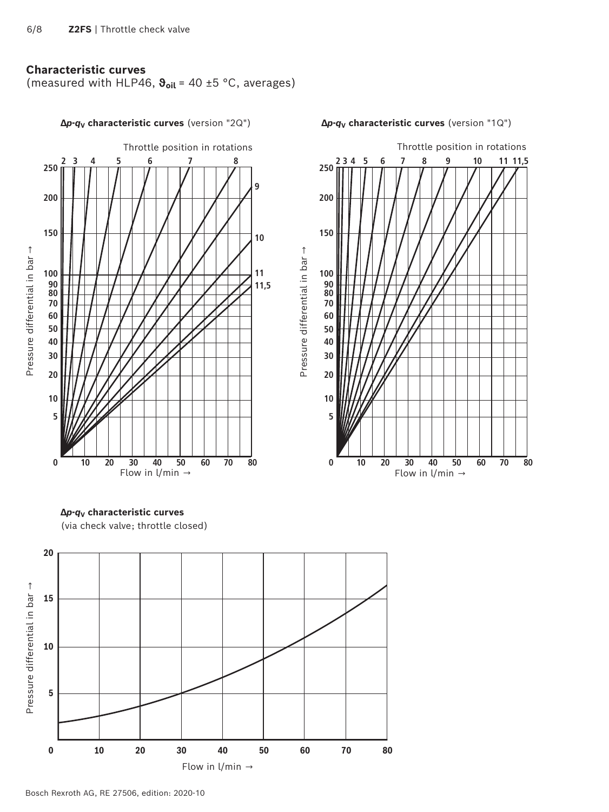### <span id="page-5-0"></span>**Characteristic curves**

(measured with HLP46, **ϑoil** = 40 ±5 °C, averages)



**∆***p***-***q***V characteristic curves** (version "2Q") **∆***p***-***q***V characteristic curves** (version "1Q")



**∆***p***-***q***V characteristic curves** (via check valve; throttle closed)



Bosch Rexroth AG, RE 27506, edition: 2020-10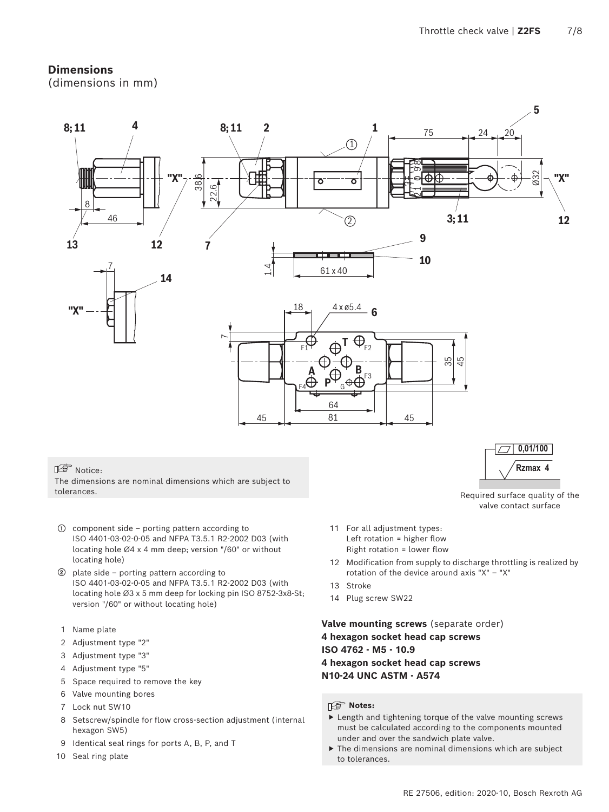## <span id="page-6-0"></span>**Dimensions**

(dimensions in mm)



### Notice:

The dimensions are nominal dimensions which are subject to tolerances.

- **①** component side porting pattern according to ISO 4401-03-02-0-05 and NFPA T3.5.1 R2-2002 D03 (with locating hole Ø4 x 4 mm deep; version "/60" or without locating hole)
- **②** plate side porting pattern according to ISO 4401-03-02-0-05 and NFPA T3.5.1 R2-2002 D03 (with locating hole Ø3 x 5 mm deep for locking pin ISO 8752-3x8-St; version "/60" or without locating hole)
- 1 Name plate
- 2 Adjustment type "2"
- 3 Adjustment type "3"
- 4 Adjustment type "5"
- 5 Space required to remove the key
- 6 Valve mounting bores
- 7 Lock nut SW10
- 8 Setscrew/spindle for flow cross-section adjustment (internal hexagon SW5)
- 9 Identical seal rings for ports A, B, P, and T
- 10 Seal ring plate
- 11 For all adjustment types: Left rotation = higher flow Right rotation = lower flow
- 12 Modification from supply to discharge throttling is realized by rotation of the device around axis "X" – "X"

**Rzmax 4**

Required surface quality of the valve contact surface

- 13 Stroke
- 14 Plug screw SW22

**Valve mounting screws** (separate order) **4 hexagon socket head cap screws ISO 4762 - M5 - 10.9 4 hexagon socket head cap screws N10-24 UNC ASTM - A574**

#### **Notes:**

- $\blacktriangleright$  Length and tightening torque of the valve mounting screws must be calculated according to the components mounted under and over the sandwich plate valve.
- ▶ The dimensions are nominal dimensions which are subject to tolerances.